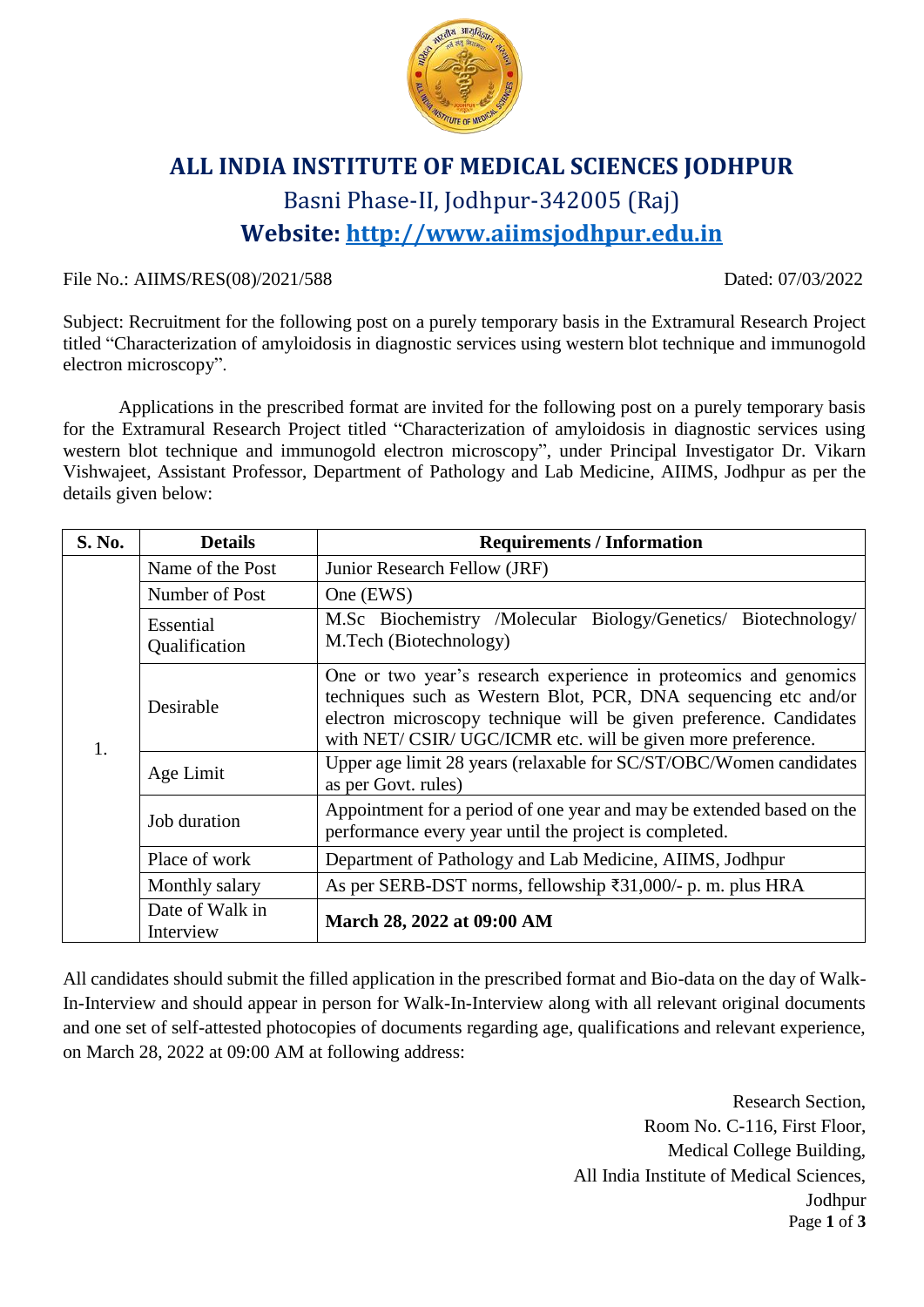

## **ALL INDIA INSTITUTE OF MEDICAL SCIENCES JODHPUR** Basni Phase-II, Jodhpur-342005 (Raj) **Website: [http://www.aiimsjodhpur.edu.in](http://www.aiimsjodhpur.edu.in/)**

File No.: AIIMS/RES(08)/2021/588 Dated: 07/03/2022

Subject: Recruitment for the following post on a purely temporary basis in the Extramural Research Project titled "Characterization of amyloidosis in diagnostic services using western blot technique and immunogold electron microscopy".

Applications in the prescribed format are invited for the following post on a purely temporary basis for the Extramural Research Project titled "Characterization of amyloidosis in diagnostic services using western blot technique and immunogold electron microscopy", under Principal Investigator Dr. Vikarn Vishwajeet, Assistant Professor, Department of Pathology and Lab Medicine, AIIMS, Jodhpur as per the details given below:

| S. No. | <b>Details</b>               | <b>Requirements / Information</b>                                                                                                                                                                                                                                       |  |  |  |  |
|--------|------------------------------|-------------------------------------------------------------------------------------------------------------------------------------------------------------------------------------------------------------------------------------------------------------------------|--|--|--|--|
| 1.     | Name of the Post             | Junior Research Fellow (JRF)                                                                                                                                                                                                                                            |  |  |  |  |
|        | Number of Post               | One (EWS)                                                                                                                                                                                                                                                               |  |  |  |  |
|        | Essential<br>Qualification   | M.Sc Biochemistry /Molecular Biology/Genetics/ Biotechnology/<br>M.Tech (Biotechnology)                                                                                                                                                                                 |  |  |  |  |
|        | Desirable                    | One or two year's research experience in proteomics and genomics<br>techniques such as Western Blot, PCR, DNA sequencing etc and/or<br>electron microscopy technique will be given preference. Candidates<br>with NET/CSIR/UGC/ICMR etc. will be given more preference. |  |  |  |  |
|        | Age Limit                    | Upper age limit 28 years (relaxable for SC/ST/OBC/Women candidates<br>as per Govt. rules)                                                                                                                                                                               |  |  |  |  |
|        | Job duration                 | Appointment for a period of one year and may be extended based on the<br>performance every year until the project is completed.                                                                                                                                         |  |  |  |  |
|        | Place of work                | Department of Pathology and Lab Medicine, AIIMS, Jodhpur                                                                                                                                                                                                                |  |  |  |  |
|        | Monthly salary               | As per SERB-DST norms, fellowship ₹31,000/- p. m. plus HRA                                                                                                                                                                                                              |  |  |  |  |
|        | Date of Walk in<br>Interview | March 28, 2022 at 09:00 AM                                                                                                                                                                                                                                              |  |  |  |  |

All candidates should submit the filled application in the prescribed format and Bio-data on the day of Walk-In-Interview and should appear in person for Walk-In-Interview along with all relevant original documents and one set of self-attested photocopies of documents regarding age, qualifications and relevant experience, on March 28, 2022 at 09:00 AM at following address:

> Page **1** of **3** Research Section, Room No. C-116, First Floor, Medical College Building, All India Institute of Medical Sciences, Jodhpur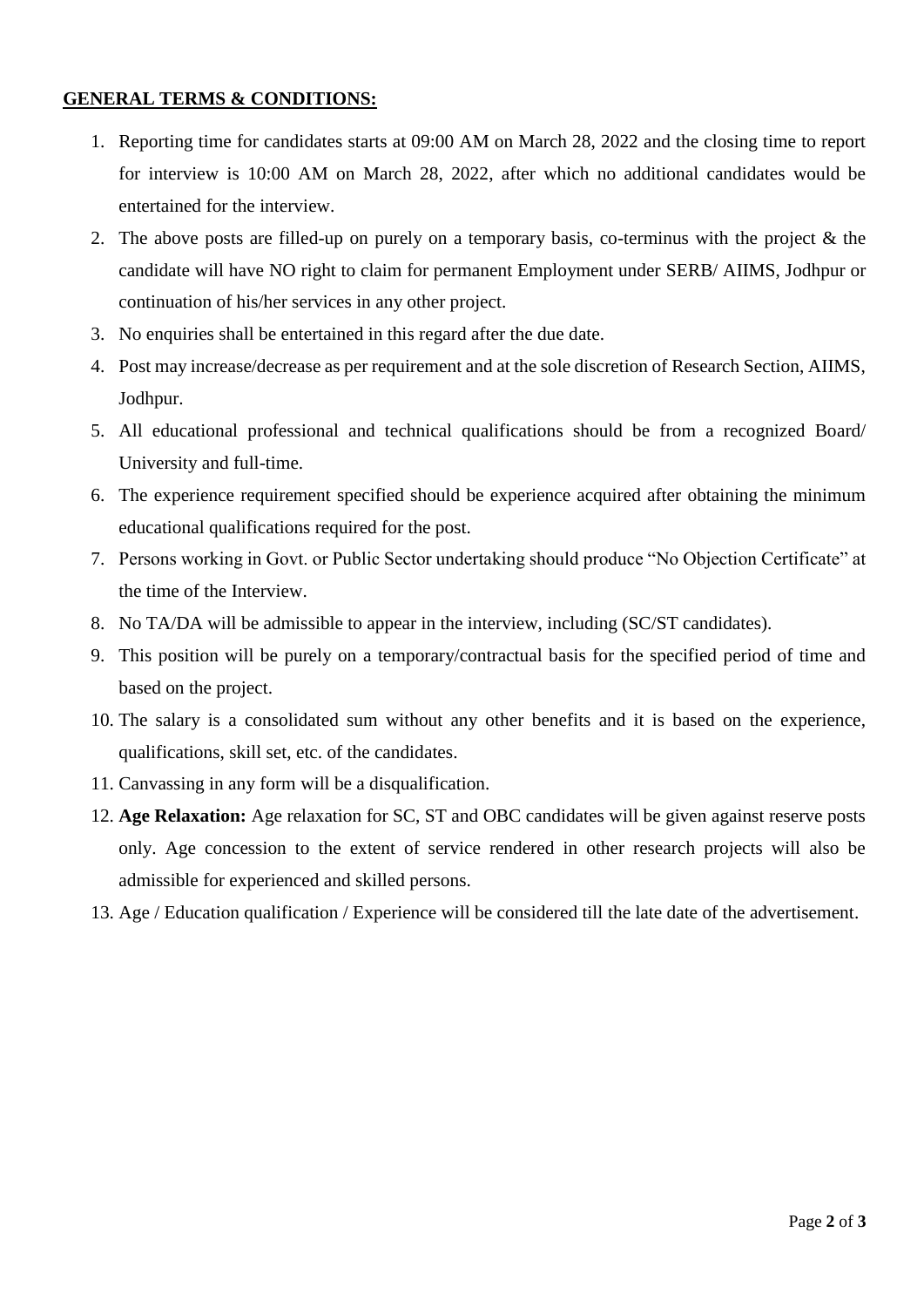## **GENERAL TERMS & CONDITIONS:**

- 1. Reporting time for candidates starts at 09:00 AM on March 28, 2022 and the closing time to report for interview is 10:00 AM on March 28, 2022, after which no additional candidates would be entertained for the interview.
- 2. The above posts are filled-up on purely on a temporary basis, co-terminus with the project & the candidate will have NO right to claim for permanent Employment under SERB/ AIIMS, Jodhpur or continuation of his/her services in any other project.
- 3. No enquiries shall be entertained in this regard after the due date.
- 4. Post may increase/decrease as per requirement and at the sole discretion of Research Section, AIIMS, Jodhpur.
- 5. All educational professional and technical qualifications should be from a recognized Board/ University and full-time.
- 6. The experience requirement specified should be experience acquired after obtaining the minimum educational qualifications required for the post.
- 7. Persons working in Govt. or Public Sector undertaking should produce "No Objection Certificate" at the time of the Interview.
- 8. No TA/DA will be admissible to appear in the interview, including (SC/ST candidates).
- 9. This position will be purely on a temporary/contractual basis for the specified period of time and based on the project.
- 10. The salary is a consolidated sum without any other benefits and it is based on the experience, qualifications, skill set, etc. of the candidates.
- 11. Canvassing in any form will be a disqualification.
- 12. **Age Relaxation:** Age relaxation for SC, ST and OBC candidates will be given against reserve posts only. Age concession to the extent of service rendered in other research projects will also be admissible for experienced and skilled persons.
- 13. Age / Education qualification / Experience will be considered till the late date of the advertisement.